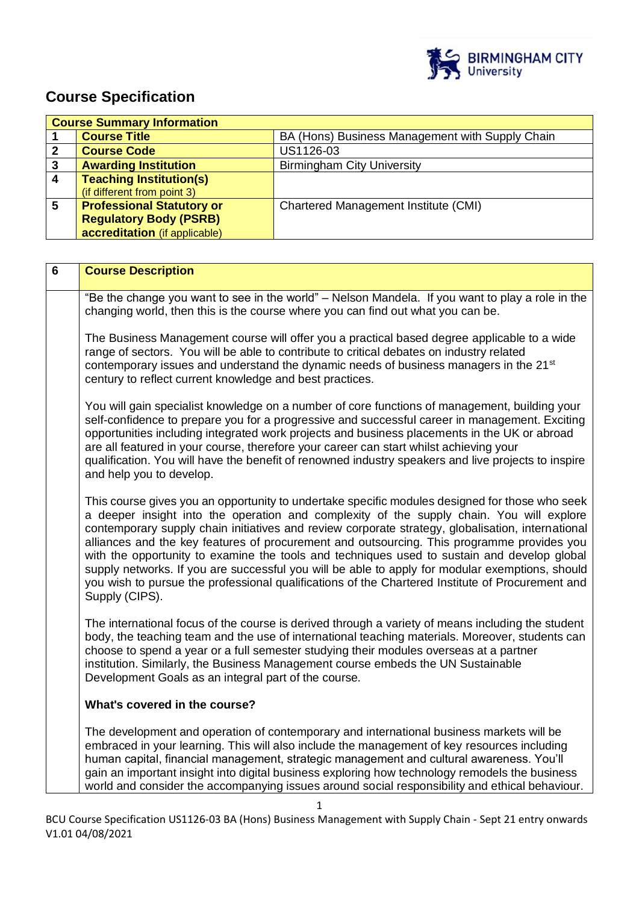

# **Course Specification**

| <b>Course Summary Information</b> |                                  |                                                 |  |
|-----------------------------------|----------------------------------|-------------------------------------------------|--|
|                                   | <b>Course Title</b>              | BA (Hons) Business Management with Supply Chain |  |
|                                   | <b>Course Code</b>               | US1126-03                                       |  |
| 3                                 | <b>Awarding Institution</b>      | <b>Birmingham City University</b>               |  |
|                                   | <b>Teaching Institution(s)</b>   |                                                 |  |
|                                   | (if different from point 3)      |                                                 |  |
| 5                                 | <b>Professional Statutory or</b> | Chartered Management Institute (CMI)            |  |
|                                   | <b>Regulatory Body (PSRB)</b>    |                                                 |  |
|                                   | accreditation (if applicable)    |                                                 |  |

| $6\phantom{1}$ | <b>Course Description</b>                                                                                                                                                                                                                                                                                                                                                                                                                                                                                                                                                                                                                                                                                             |  |  |
|----------------|-----------------------------------------------------------------------------------------------------------------------------------------------------------------------------------------------------------------------------------------------------------------------------------------------------------------------------------------------------------------------------------------------------------------------------------------------------------------------------------------------------------------------------------------------------------------------------------------------------------------------------------------------------------------------------------------------------------------------|--|--|
|                | "Be the change you want to see in the world" - Nelson Mandela. If you want to play a role in the<br>changing world, then this is the course where you can find out what you can be.                                                                                                                                                                                                                                                                                                                                                                                                                                                                                                                                   |  |  |
|                | The Business Management course will offer you a practical based degree applicable to a wide<br>range of sectors. You will be able to contribute to critical debates on industry related<br>contemporary issues and understand the dynamic needs of business managers in the 21 <sup>st</sup><br>century to reflect current knowledge and best practices.                                                                                                                                                                                                                                                                                                                                                              |  |  |
|                | You will gain specialist knowledge on a number of core functions of management, building your<br>self-confidence to prepare you for a progressive and successful career in management. Exciting<br>opportunities including integrated work projects and business placements in the UK or abroad<br>are all featured in your course, therefore your career can start whilst achieving your<br>qualification. You will have the benefit of renowned industry speakers and live projects to inspire<br>and help you to develop.                                                                                                                                                                                          |  |  |
|                | This course gives you an opportunity to undertake specific modules designed for those who seek<br>a deeper insight into the operation and complexity of the supply chain. You will explore<br>contemporary supply chain initiatives and review corporate strategy, globalisation, international<br>alliances and the key features of procurement and outsourcing. This programme provides you<br>with the opportunity to examine the tools and techniques used to sustain and develop global<br>supply networks. If you are successful you will be able to apply for modular exemptions, should<br>you wish to pursue the professional qualifications of the Chartered Institute of Procurement and<br>Supply (CIPS). |  |  |
|                | The international focus of the course is derived through a variety of means including the student<br>body, the teaching team and the use of international teaching materials. Moreover, students can<br>choose to spend a year or a full semester studying their modules overseas at a partner<br>institution. Similarly, the Business Management course embeds the UN Sustainable<br>Development Goals as an integral part of the course.                                                                                                                                                                                                                                                                            |  |  |
|                | What's covered in the course?                                                                                                                                                                                                                                                                                                                                                                                                                                                                                                                                                                                                                                                                                         |  |  |
|                | The development and operation of contemporary and international business markets will be<br>embraced in your learning. This will also include the management of key resources including<br>human capital, financial management, strategic management and cultural awareness. You'll<br>gain an important insight into digital business exploring how technology remodels the business<br>world and consider the accompanying issues around social responsibility and ethical behaviour.                                                                                                                                                                                                                               |  |  |
|                | $\mathbf{1}$                                                                                                                                                                                                                                                                                                                                                                                                                                                                                                                                                                                                                                                                                                          |  |  |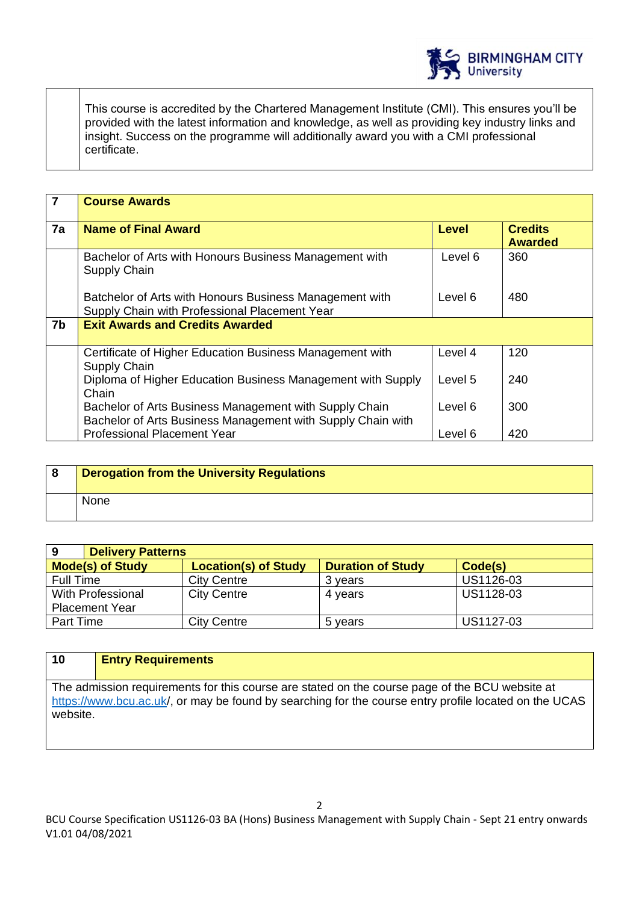

This course is accredited by the Chartered Management Institute (CMI). This ensures you'll be provided with the latest information and knowledge, as well as providing key industry links and insight. Success on the programme will additionally award you with a CMI professional certificate.

| $\overline{7}$ | <b>Course Awards</b>                                                                                                  |              |                                  |
|----------------|-----------------------------------------------------------------------------------------------------------------------|--------------|----------------------------------|
|                |                                                                                                                       |              |                                  |
| 7a             | <b>Name of Final Award</b>                                                                                            | <b>Level</b> | <b>Credits</b><br><b>Awarded</b> |
|                | Bachelor of Arts with Honours Business Management with<br>Supply Chain                                                | Level 6      | 360                              |
|                | Batchelor of Arts with Honours Business Management with<br>Supply Chain with Professional Placement Year              | Level 6      | 480                              |
| 7b             | <b>Exit Awards and Credits Awarded</b>                                                                                |              |                                  |
|                | Certificate of Higher Education Business Management with<br>Supply Chain                                              | Level 4      | 120                              |
|                | Diploma of Higher Education Business Management with Supply<br>Chain                                                  | Level 5      | 240                              |
|                | Bachelor of Arts Business Management with Supply Chain<br>Bachelor of Arts Business Management with Supply Chain with | Level 6      | 300                              |
|                | <b>Professional Placement Year</b>                                                                                    | Level 6      | 420                              |

| . 8 | Derogation from the University Regulations |
|-----|--------------------------------------------|
|     | None                                       |

| 9                       | <b>Delivery Patterns</b>    |                          |           |  |
|-------------------------|-----------------------------|--------------------------|-----------|--|
| <b>Mode(s) of Study</b> | <b>Location(s) of Study</b> | <b>Duration of Study</b> | Code(s)   |  |
| <b>Full Time</b>        | <b>City Centre</b>          | 3 vears                  | US1126-03 |  |
| With Professional       | <b>City Centre</b>          | 4 years                  | US1128-03 |  |
| <b>Placement Year</b>   |                             |                          |           |  |
| Part Time               | <b>City Centre</b>          | 5 years                  | US1127-03 |  |

| 10                                                                                                    | <b>Entry Requirements</b> |  |
|-------------------------------------------------------------------------------------------------------|---------------------------|--|
|                                                                                                       |                           |  |
| The admission requirements for this course are stated on the course page of the BCU website at        |                           |  |
| https://www.bcu.ac.uk/, or may be found by searching for the course entry profile located on the UCAS |                           |  |
| website.                                                                                              |                           |  |

BCU Course Specification US1126-03 BA (Hons) Business Management with Supply Chain - Sept 21 entry onwards V1.01 04/08/2021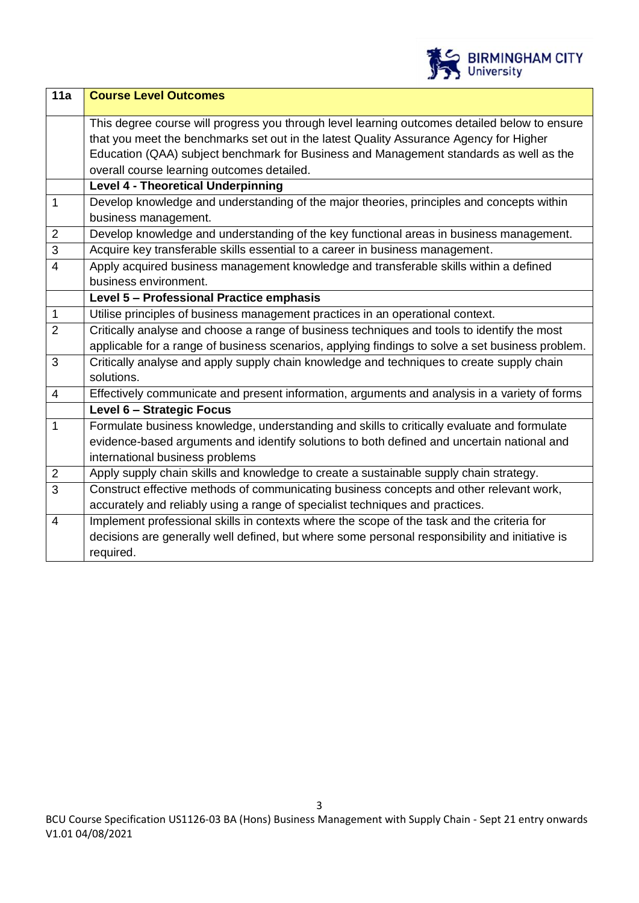

| 11a            | <b>Course Level Outcomes</b>                                                                     |  |  |
|----------------|--------------------------------------------------------------------------------------------------|--|--|
|                | This degree course will progress you through level learning outcomes detailed below to ensure    |  |  |
|                | that you meet the benchmarks set out in the latest Quality Assurance Agency for Higher           |  |  |
|                | Education (QAA) subject benchmark for Business and Management standards as well as the           |  |  |
|                | overall course learning outcomes detailed.                                                       |  |  |
|                | <b>Level 4 - Theoretical Underpinning</b>                                                        |  |  |
| $\mathbf{1}$   | Develop knowledge and understanding of the major theories, principles and concepts within        |  |  |
|                | business management.                                                                             |  |  |
| $\overline{2}$ | Develop knowledge and understanding of the key functional areas in business management.          |  |  |
| $\overline{3}$ | Acquire key transferable skills essential to a career in business management.                    |  |  |
| $\overline{4}$ | Apply acquired business management knowledge and transferable skills within a defined            |  |  |
|                | business environment.                                                                            |  |  |
|                | Level 5 - Professional Practice emphasis                                                         |  |  |
| $\mathbf{1}$   | Utilise principles of business management practices in an operational context.                   |  |  |
| $\overline{2}$ | Critically analyse and choose a range of business techniques and tools to identify the most      |  |  |
|                | applicable for a range of business scenarios, applying findings to solve a set business problem. |  |  |
| 3              | Critically analyse and apply supply chain knowledge and techniques to create supply chain        |  |  |
|                | solutions.                                                                                       |  |  |
| $\overline{4}$ | Effectively communicate and present information, arguments and analysis in a variety of forms    |  |  |
|                | Level 6 - Strategic Focus                                                                        |  |  |
| $\mathbf{1}$   | Formulate business knowledge, understanding and skills to critically evaluate and formulate      |  |  |
|                | evidence-based arguments and identify solutions to both defined and uncertain national and       |  |  |
|                | international business problems                                                                  |  |  |
| $\overline{2}$ | Apply supply chain skills and knowledge to create a sustainable supply chain strategy.           |  |  |
| $\overline{3}$ | Construct effective methods of communicating business concepts and other relevant work,          |  |  |
|                | accurately and reliably using a range of specialist techniques and practices.                    |  |  |
| $\overline{4}$ | Implement professional skills in contexts where the scope of the task and the criteria for       |  |  |
|                | decisions are generally well defined, but where some personal responsibility and initiative is   |  |  |
|                | required.                                                                                        |  |  |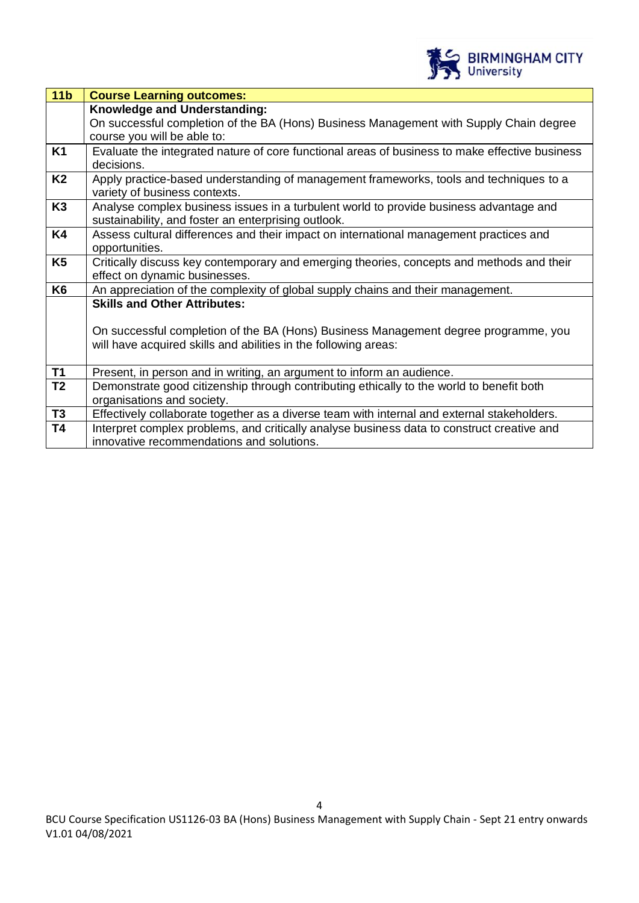

| 11 <sub>b</sub> | <b>Course Learning outcomes:</b>                                                                                                              |  |  |
|-----------------|-----------------------------------------------------------------------------------------------------------------------------------------------|--|--|
|                 | Knowledge and Understanding:<br>On successful completion of the BA (Hons) Business Management with Supply Chain degree                        |  |  |
|                 | course you will be able to:                                                                                                                   |  |  |
| K1              | Evaluate the integrated nature of core functional areas of business to make effective business<br>decisions.                                  |  |  |
| <b>K2</b>       | Apply practice-based understanding of management frameworks, tools and techniques to a<br>variety of business contexts.                       |  |  |
| K <sub>3</sub>  | Analyse complex business issues in a turbulent world to provide business advantage and<br>sustainability, and foster an enterprising outlook. |  |  |
| <b>K4</b>       | Assess cultural differences and their impact on international management practices and<br>opportunities.                                      |  |  |
| K <sub>5</sub>  | Critically discuss key contemporary and emerging theories, concepts and methods and their<br>effect on dynamic businesses.                    |  |  |
| K <sub>6</sub>  | An appreciation of the complexity of global supply chains and their management.                                                               |  |  |
|                 | <b>Skills and Other Attributes:</b><br>On successful completion of the BA (Hons) Business Management degree programme, you                    |  |  |
|                 | will have acquired skills and abilities in the following areas:                                                                               |  |  |
| <b>T1</b>       | Present, in person and in writing, an argument to inform an audience.                                                                         |  |  |
| T <sub>2</sub>  | Demonstrate good citizenship through contributing ethically to the world to benefit both<br>organisations and society.                        |  |  |
| <b>T3</b>       | Effectively collaborate together as a diverse team with internal and external stakeholders.                                                   |  |  |
| <b>T4</b>       | Interpret complex problems, and critically analyse business data to construct creative and<br>innovative recommendations and solutions.       |  |  |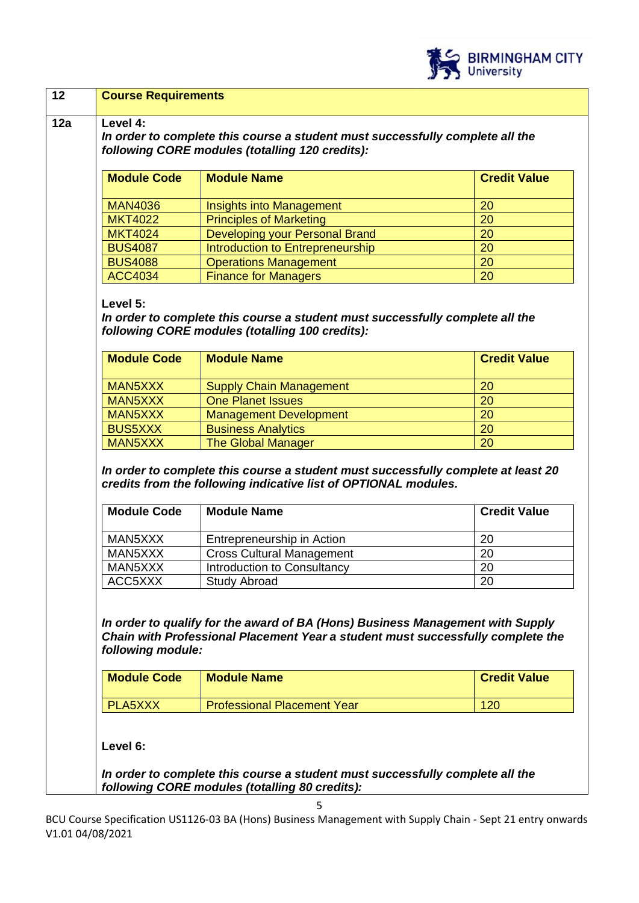

| 20<br>20<br>20<br>20<br>20<br>20                                                  |
|-----------------------------------------------------------------------------------|
|                                                                                   |
|                                                                                   |
|                                                                                   |
| In order to complete this course a student must successfully complete all the     |
|                                                                                   |
|                                                                                   |
| <b>Credit Value</b><br>20                                                         |
| 20                                                                                |
| 20                                                                                |
| 20                                                                                |
| 20                                                                                |
| <b>Credit Value</b><br>20<br>20                                                   |
|                                                                                   |
| 20<br>20                                                                          |
| In order to complete this course a student must successfully complete at least 20 |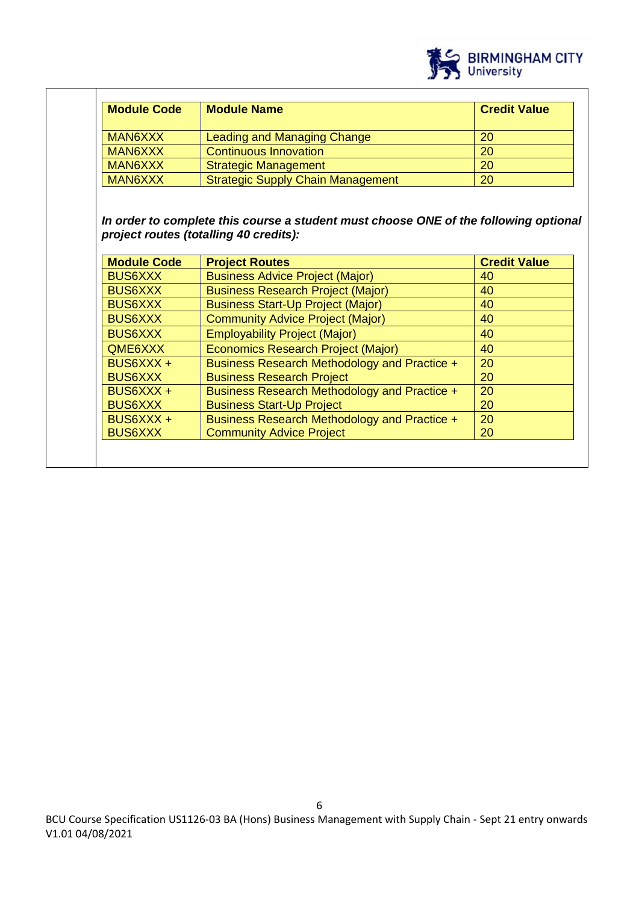

| <b>Module Code</b> | <b>Module Name</b>                                              | <b>Credit Value</b> |
|--------------------|-----------------------------------------------------------------|---------------------|
| <b>MAN6XXX</b>     | <b>Leading and Managing Change</b>                              | 20                  |
| <b>MAN6XXX</b>     | Continuous Innovation                                           | 20                  |
| <b>MAN6XXX</b>     | <b>Strategic Management</b>                                     | 20                  |
| <b>MAN6XXX</b>     | <b>Strategic Supply Chain Management</b>                        | 20                  |
| <b>Module Code</b> | project routes (totalling 40 credits):<br><b>Project Routes</b> | <b>Credit Value</b> |
| <b>BUS6XXX</b>     | <b>Business Advice Project (Major)</b>                          | 40                  |
| <b>BUS6XXX</b>     | <b>Business Research Project (Major)</b>                        | 40                  |
|                    | <b>Business Start-Up Project (Major)</b>                        | 40                  |
| <b>BUS6XXX</b>     |                                                                 |                     |
| <b>BUS6XXX</b>     | <b>Community Advice Project (Major)</b>                         | 40                  |
| <b>BUS6XXX</b>     | <b>Employability Project (Major)</b>                            | 40                  |
| QME6XXX            | Economics Research Project (Major)                              | 40                  |
| BUS6XXX +          | Business Research Methodology and Practice +                    | 20                  |
| <b>BUS6XXX</b>     | <b>Business Research Project</b>                                | 20                  |
| BUS6XXX +          | Business Research Methodology and Practice +                    | 20                  |
| <b>BUS6XXX</b>     | <b>Business Start-Up Project</b>                                | 20                  |
| BUS6XXX +          | Business Research Methodology and Practice +                    | 20                  |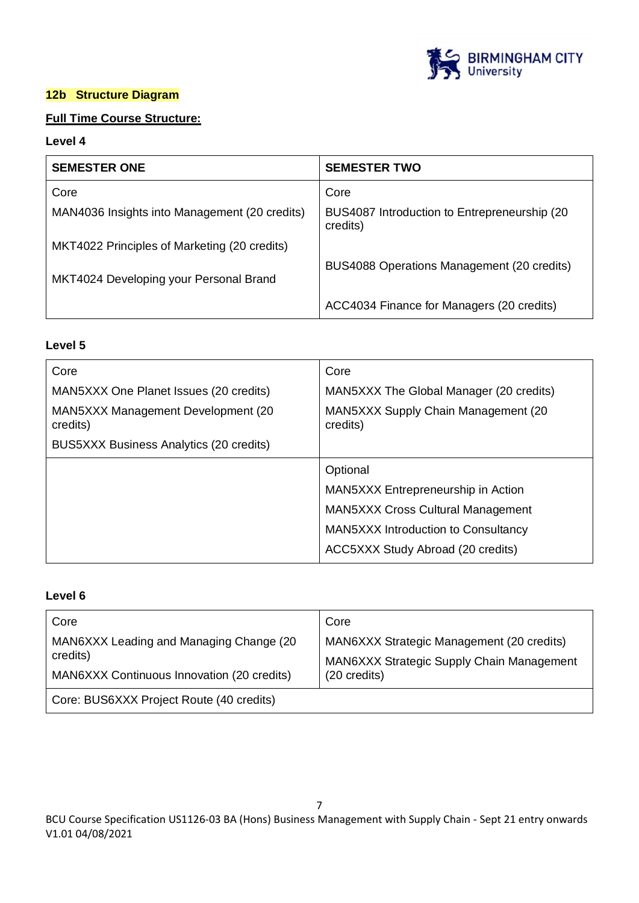

# **12b Structure Diagram**

# **Full Time Course Structure:**

# **Level 4**

| <b>SEMESTER ONE</b>                           | <b>SEMESTER TWO</b>                                       |
|-----------------------------------------------|-----------------------------------------------------------|
| Core                                          | Core                                                      |
| MAN4036 Insights into Management (20 credits) | BUS4087 Introduction to Entrepreneurship (20)<br>credits) |
| MKT4022 Principles of Marketing (20 credits)  |                                                           |
| MKT4024 Developing your Personal Brand        | BUS4088 Operations Management (20 credits)                |
|                                               | ACC4034 Finance for Managers (20 credits)                 |

# **Level 5**

| Core                                           | Core                                            |
|------------------------------------------------|-------------------------------------------------|
| MAN5XXX One Planet Issues (20 credits)         | MAN5XXX The Global Manager (20 credits)         |
| MAN5XXX Management Development (20<br>credits) | MAN5XXX Supply Chain Management (20<br>credits) |
| BUS5XXX Business Analytics (20 credits)        |                                                 |
|                                                | Optional                                        |
|                                                | MAN5XXX Entrepreneurship in Action              |
|                                                | <b>MAN5XXX Cross Cultural Management</b>        |
|                                                | <b>MAN5XXX Introduction to Consultancy</b>      |
|                                                | ACC5XXX Study Abroad (20 credits)               |

# **Level 6**

| Core                                                                                              | Core                                                                |
|---------------------------------------------------------------------------------------------------|---------------------------------------------------------------------|
| MAN6XXX Leading and Managing Change (20<br>credits)<br>MAN6XXX Continuous Innovation (20 credits) | MAN6XXX Strategic Management (20 credits)                           |
|                                                                                                   | MAN6XXX Strategic Supply Chain Management<br>$(20 \text{ credits})$ |
| Core: BUS6XXX Project Route (40 credits)                                                          |                                                                     |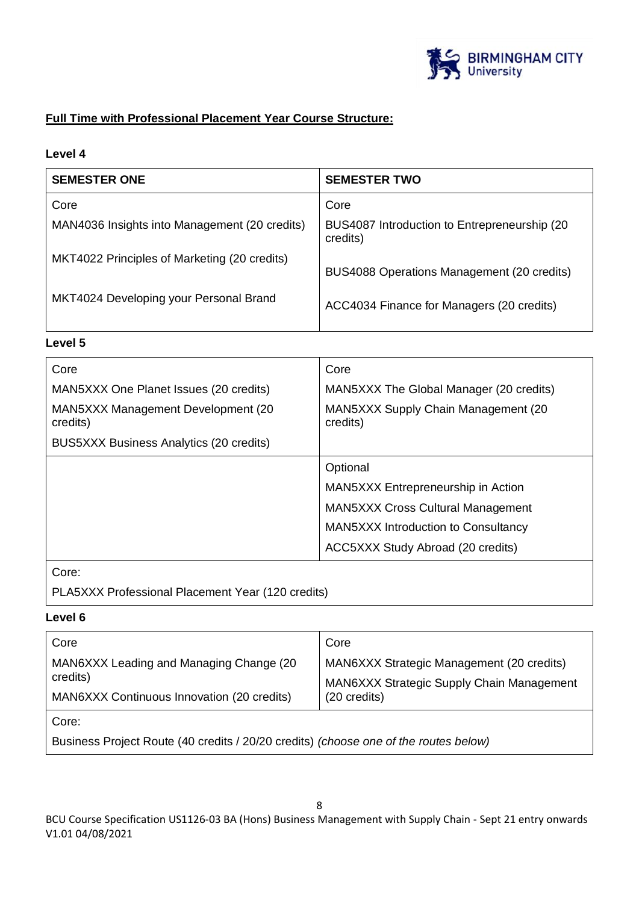

# **Full Time with Professional Placement Year Course Structure:**

# **Level 4**

| <b>SEMESTER ONE</b>                           | <b>SEMESTER TWO</b>                                       |
|-----------------------------------------------|-----------------------------------------------------------|
| Core                                          | Core                                                      |
| MAN4036 Insights into Management (20 credits) | BUS4087 Introduction to Entrepreneurship (20)<br>credits) |
| MKT4022 Principles of Marketing (20 credits)  | BUS4088 Operations Management (20 credits)                |
| MKT4024 Developing your Personal Brand        | ACC4034 Finance for Managers (20 credits)                 |

# **Level 5**

| Core                                           | Core                                             |
|------------------------------------------------|--------------------------------------------------|
| MAN5XXX One Planet Issues (20 credits)         | MAN5XXX The Global Manager (20 credits)          |
| MAN5XXX Management Development (20<br>credits) | MAN5XXX Supply Chain Management (20)<br>credits) |
| <b>BUS5XXX Business Analytics (20 credits)</b> |                                                  |
|                                                | Optional                                         |
|                                                | MAN5XXX Entrepreneurship in Action               |
|                                                | <b>MAN5XXX Cross Cultural Management</b>         |
|                                                | <b>MAN5XXX Introduction to Consultancy</b>       |
|                                                | ACC5XXX Study Abroad (20 credits)                |
| Core:                                          |                                                  |

PLA5XXX Professional Placement Year (120 credits)

# **Level 6**

| Core                                                                                              | Core                                                                                                   |  |
|---------------------------------------------------------------------------------------------------|--------------------------------------------------------------------------------------------------------|--|
| MAN6XXX Leading and Managing Change (20<br>credits)<br>MAN6XXX Continuous Innovation (20 credits) | MAN6XXX Strategic Management (20 credits)<br>MAN6XXX Strategic Supply Chain Management<br>(20 credits) |  |
| Core:<br>Business Project Route (40 credits / 20/20 credits) (choose one of the routes below)     |                                                                                                        |  |

BCU Course Specification US1126-03 BA (Hons) Business Management with Supply Chain - Sept 21 entry onwards V1.01 04/08/2021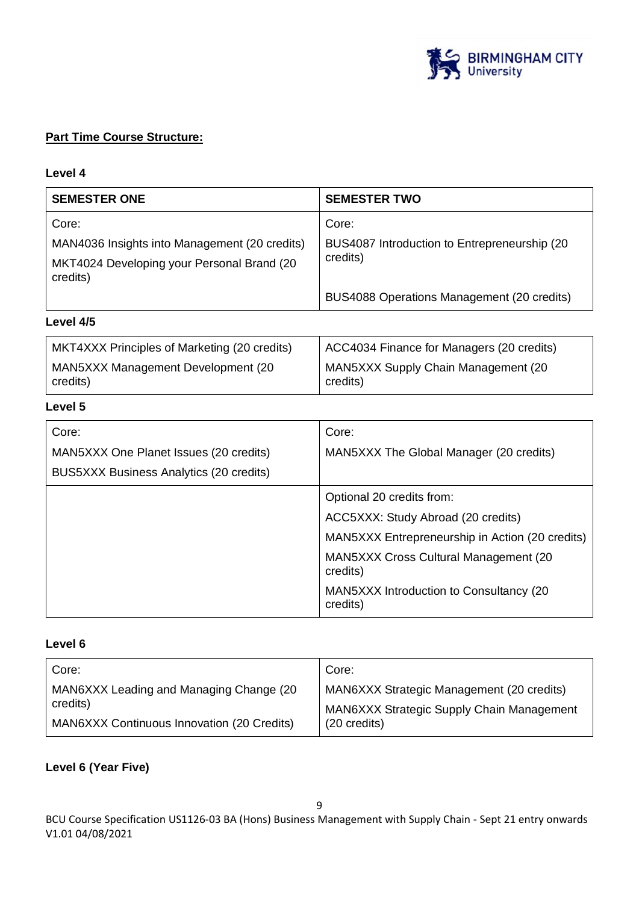

# **Part Time Course Structure:**

#### **Level 4**

| <b>SEMESTER ONE</b>                                    | <b>SEMESTER TWO</b>                           |
|--------------------------------------------------------|-----------------------------------------------|
| Core:                                                  | Core:                                         |
| MAN4036 Insights into Management (20 credits)          | BUS4087 Introduction to Entrepreneurship (20) |
| MKT4024 Developing your Personal Brand (20<br>credits) | credits)                                      |
|                                                        | BUS4088 Operations Management (20 credits)    |
| Level 4/5                                              |                                               |

#### MKT4XXX Principles of Marketing (20 credits) MAN5XXX Management Development (20 credits) ACC4034 Finance for Managers (20 credits) MAN5XXX Supply Chain Management (20 credits)

#### **Level 5**

| Core:                                   | Core:                                                     |
|-----------------------------------------|-----------------------------------------------------------|
| MAN5XXX One Planet Issues (20 credits)  | MAN5XXX The Global Manager (20 credits)                   |
| BUS5XXX Business Analytics (20 credits) |                                                           |
|                                         | Optional 20 credits from:                                 |
|                                         | ACC5XXX: Study Abroad (20 credits)                        |
|                                         | MAN5XXX Entrepreneurship in Action (20 credits)           |
|                                         | <b>MAN5XXX Cross Cultural Management (20)</b><br>credits) |
|                                         | MAN5XXX Introduction to Consultancy (20<br>credits)       |

# **Level 6**

| Core:                                             | Core:                                            |  |
|---------------------------------------------------|--------------------------------------------------|--|
| MAN6XXX Leading and Managing Change (20           | MAN6XXX Strategic Management (20 credits)        |  |
| credits)                                          | <b>MAN6XXX Strategic Supply Chain Management</b> |  |
| <b>MAN6XXX Continuous Innovation (20 Credits)</b> | (20 credits)                                     |  |

#### **Level 6 (Year Five)**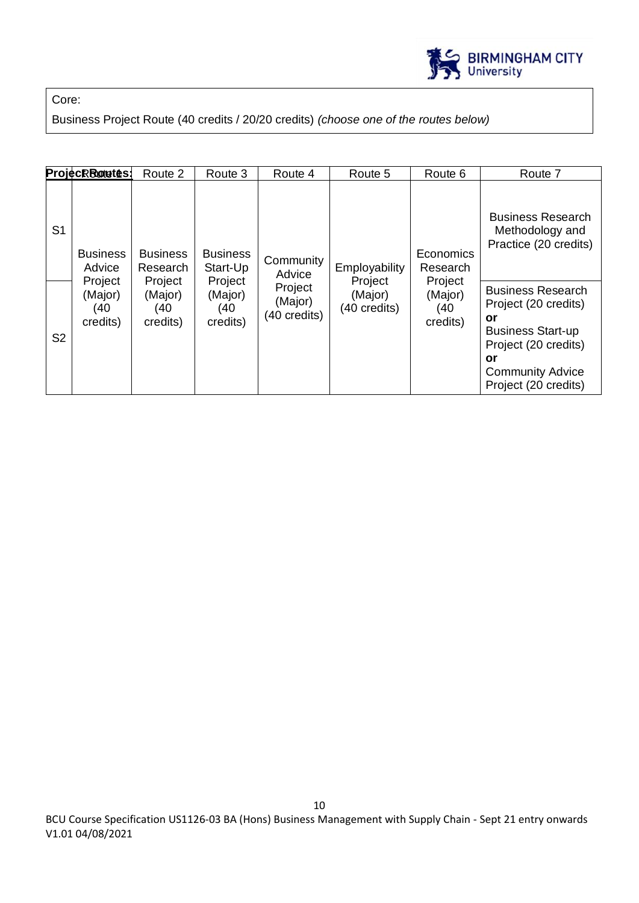

Core:

Business Project Route (40 credits / 20/20 credits) *(choose one of the routes below)*

|                                  | ProjecRRotetes:                                                   | Route 2                                                              | Route 3                                                              | Route 4                                                   | Route 5                                             | Route 6                                                        | Route 7                                                                                                                                                                                                                                     |
|----------------------------------|-------------------------------------------------------------------|----------------------------------------------------------------------|----------------------------------------------------------------------|-----------------------------------------------------------|-----------------------------------------------------|----------------------------------------------------------------|---------------------------------------------------------------------------------------------------------------------------------------------------------------------------------------------------------------------------------------------|
| S <sub>1</sub><br>S <sub>2</sub> | <b>Business</b><br>Advice<br>Project<br>(Major)<br>40<br>credits) | <b>Business</b><br>Research<br>Project<br>(Major)<br>(40<br>credits) | <b>Business</b><br>Start-Up<br>Project<br>(Major)<br>(40<br>credits) | Community<br>Advice<br>Project<br>(Major)<br>(40 credits) | Employability<br>Project<br>(Major)<br>(40 credits) | Economics<br>Research<br>Project<br>(Major)<br>(40<br>credits) | <b>Business Research</b><br>Methodology and<br>Practice (20 credits)<br><b>Business Research</b><br>Project (20 credits)<br>or<br><b>Business Start-up</b><br>Project (20 credits)<br>or<br><b>Community Advice</b><br>Project (20 credits) |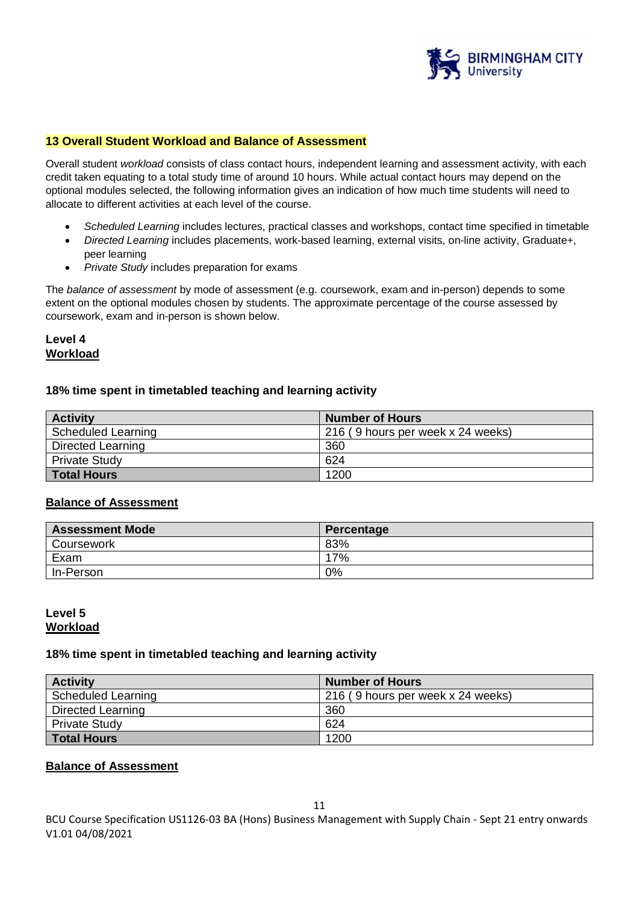

#### **13 Overall Student Workload and Balance of Assessment**

Overall student *workload* consists of class contact hours, independent learning and assessment activity, with each credit taken equating to a total study time of around 10 hours. While actual contact hours may depend on the optional modules selected, the following information gives an indication of how much time students will need to allocate to different activities at each level of the course.

- *Scheduled Learning* includes lectures, practical classes and workshops, contact time specified in timetable
- *Directed Learning* includes placements, work-based learning, external visits, on-line activity, Graduate+, peer learning
- *Private Study* includes preparation for exams

The *balance of assessment* by mode of assessment (e.g. coursework, exam and in-person) depends to some extent on the optional modules chosen by students. The approximate percentage of the course assessed by coursework, exam and in-person is shown below.

# **Level 4 Workload**

#### **18% time spent in timetabled teaching and learning activity**

| <b>Activity</b>           | <b>Number of Hours</b>            |
|---------------------------|-----------------------------------|
| <b>Scheduled Learning</b> | 216 (9 hours per week x 24 weeks) |
| Directed Learning         | 360                               |
| <b>Private Study</b>      | 624                               |
| <b>Total Hours</b>        | 1200                              |

#### **Balance of Assessment**

| <b>Assessment Mode</b> | Percentage |
|------------------------|------------|
| Coursework             | 83%        |
| Exam                   | 17%        |
| In-Person              | 0%         |

#### **Level 5 Workload**

#### **18% time spent in timetabled teaching and learning activity**

| <b>Activity</b>      | <b>Number of Hours</b>            |
|----------------------|-----------------------------------|
| Scheduled Learning   | 216 (9 hours per week x 24 weeks) |
| Directed Learning    | 360                               |
| <b>Private Study</b> | 624                               |
| <b>Total Hours</b>   | 1200                              |

#### **Balance of Assessment**

BCU Course Specification US1126-03 BA (Hons) Business Management with Supply Chain - Sept 21 entry onwards V1.01 04/08/2021